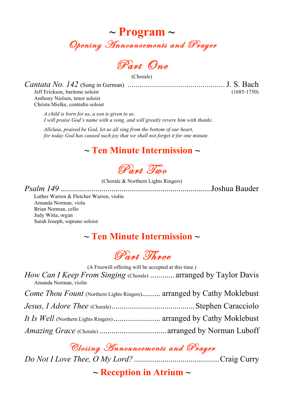

Part One

(Chorale)

*Cantata No. 142* (Sung in German) *................................................*J. S. Bach

Jeff Erickson, baritone soloist Anthony Nielsen, tenor soloist Christa Mielke, contralto soloist

*A child is born for us, a son is given to us. I will praise God's name with a song, and will greatly revere him with thanks.*

*Alleluia, praised be God, let us all sing from the bottom of our heart, for today God has caused such joy that we shall not forget it for one minute.*

## **~ Ten Minute Intermission ~**

Part Two

(Chorale & Northern Lights Ringers)

*Psalm 149* ..........................................................................Joshua Bauder

Luther Warren & Fletcher Warren, violin Amanda Norman, viola Brian Norman, cello Judy Witta, organ Sarah Joseph, soprano soloist

# **~ Ten Minute Intermission ~**

Part Three

(A Freewill offering will be accepted at this time.)

*How Can I Keep From Singing* (Chorale) ............ arranged by Taylor Davis Amanda Norman, violin

| Come Thou Fount (Northern Lights Ringers) arranged by Cathy Moklebust |  |
|-----------------------------------------------------------------------|--|
|                                                                       |  |
|                                                                       |  |
|                                                                       |  |

Closing Announcements and Prayer

*Do Not I Love Thee, O My Lord?*..........................................Craig Curry

**~ Reception in Atrium ~**